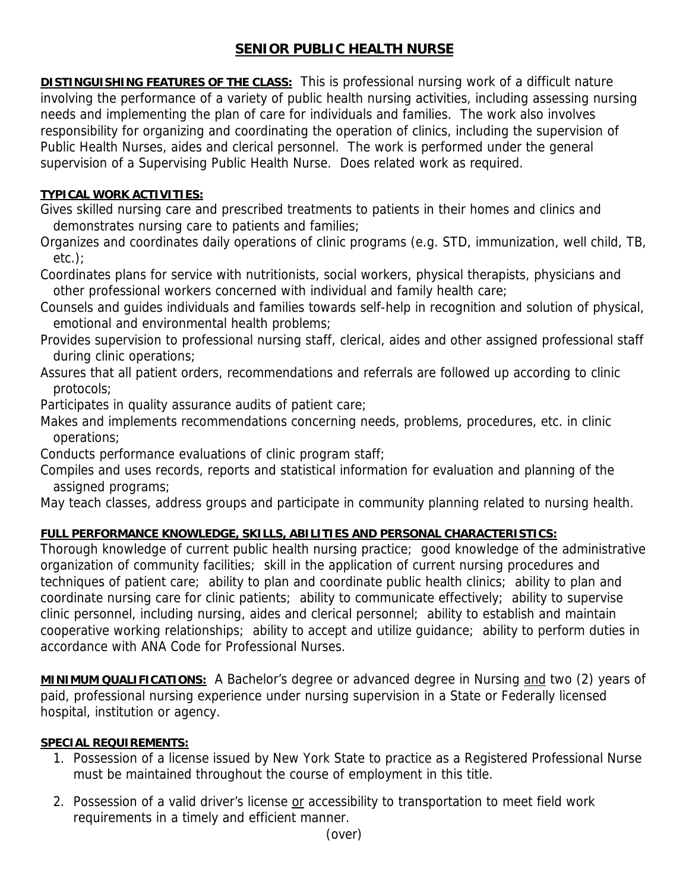## **SENIOR PUBLIC HEALTH NURSE**

**DISTINGUISHING FEATURES OF THE CLASS:** This is professional nursing work of a difficult nature involving the performance of a variety of public health nursing activities, including assessing nursing needs and implementing the plan of care for individuals and families. The work also involves responsibility for organizing and coordinating the operation of clinics, including the supervision of Public Health Nurses, aides and clerical personnel. The work is performed under the general supervision of a Supervising Public Health Nurse. Does related work as required.

## **TYPICAL WORK ACTIVITIES:**

Gives skilled nursing care and prescribed treatments to patients in their homes and clinics and demonstrates nursing care to patients and families;

Organizes and coordinates daily operations of clinic programs (e.g. STD, immunization, well child, TB, etc.);

Coordinates plans for service with nutritionists, social workers, physical therapists, physicians and other professional workers concerned with individual and family health care;

Counsels and guides individuals and families towards self-help in recognition and solution of physical, emotional and environmental health problems;

Provides supervision to professional nursing staff, clerical, aides and other assigned professional staff during clinic operations;

Assures that all patient orders, recommendations and referrals are followed up according to clinic protocols;

Participates in quality assurance audits of patient care;

Makes and implements recommendations concerning needs, problems, procedures, etc. in clinic operations;

Conducts performance evaluations of clinic program staff;

Compiles and uses records, reports and statistical information for evaluation and planning of the assigned programs;

May teach classes, address groups and participate in community planning related to nursing health.

## **FULL PERFORMANCE KNOWLEDGE, SKILLS, ABILITIES AND PERSONAL CHARACTERISTICS:**

Thorough knowledge of current public health nursing practice; good knowledge of the administrative organization of community facilities; skill in the application of current nursing procedures and techniques of patient care; ability to plan and coordinate public health clinics; ability to plan and coordinate nursing care for clinic patients; ability to communicate effectively; ability to supervise clinic personnel, including nursing, aides and clerical personnel; ability to establish and maintain cooperative working relationships; ability to accept and utilize guidance; ability to perform duties in accordance with ANA Code for Professional Nurses.

**MINIMUM QUALIFICATIONS:** A Bachelor's degree or advanced degree in Nursing and two (2) years of paid, professional nursing experience under nursing supervision in a State or Federally licensed hospital, institution or agency.

## **SPECIAL REQUIREMENTS:**

- 1. Possession of a license issued by New York State to practice as a Registered Professional Nurse must be maintained throughout the course of employment in this title.
- 2. Possession of a valid driver's license or accessibility to transportation to meet field work requirements in a timely and efficient manner.